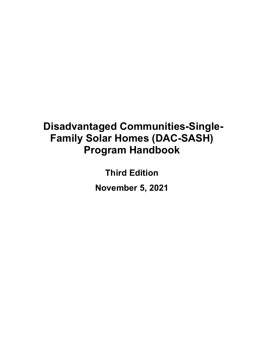# **Disadvantaged Communities-Single-Family Solar Homes (DAC-SASH) Program Handbook**

**Third Edition** 

**November 5, 2021**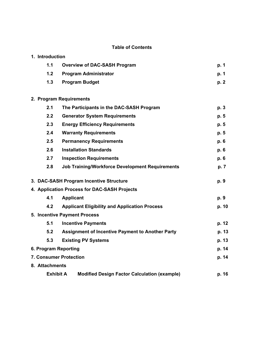## **Table of Contents**

| 1. Introduction                                                  |                                                         |       |
|------------------------------------------------------------------|---------------------------------------------------------|-------|
| 1.1                                                              | <b>Overview of DAC-SASH Program</b>                     | p. 1  |
| 1.2                                                              | <b>Program Administrator</b>                            | p. 1  |
| 1.3                                                              | <b>Program Budget</b>                                   | p.2   |
|                                                                  | 2. Program Requirements                                 |       |
| 2.1                                                              | The Participants in the DAC-SASH Program                | p. 3  |
| 2.2                                                              | <b>Generator System Requirements</b>                    | p. 5  |
| 2.3                                                              | <b>Energy Efficiency Requirements</b>                   | p. 5  |
| 2.4                                                              | <b>Warranty Requirements</b>                            | p. 5  |
| 2.5                                                              | <b>Permanency Requirements</b>                          | p. 6  |
| 2.6                                                              | <b>Installation Standards</b>                           | p. 6  |
| 2.7                                                              | <b>Inspection Requirements</b>                          | p. 6  |
| 2.8                                                              | <b>Job Training/Workforce Development Requirements</b>  | p. 7  |
|                                                                  | 3. DAC-SASH Program Incentive Structure                 | p. 9  |
|                                                                  | 4. Application Process for DAC-SASH Projects            |       |
| 4.1                                                              | <b>Applicant</b>                                        | p. 9  |
| 4.2                                                              | <b>Applicant Eligibility and Application Process</b>    | p. 10 |
|                                                                  | 5. Incentive Payment Process                            |       |
| 5.1                                                              | <b>Incentive Payments</b>                               | p. 12 |
| 5.2                                                              | <b>Assignment of Incentive Payment to Another Party</b> | p. 13 |
| 5.3                                                              | <b>Existing PV Systems</b>                              | p. 13 |
| 6. Program Reporting                                             | p. 14                                                   |       |
| <b>7. Consumer Protection</b>                                    | p. 14                                                   |       |
| 8. Attachments                                                   |                                                         |       |
| <b>Modified Design Factor Calculation (example)</b><br>Exhibit A |                                                         |       |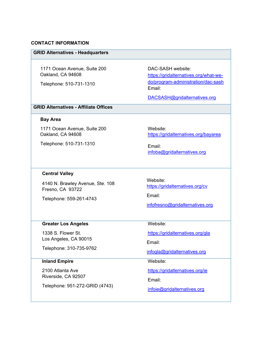#### **CONTACT INFORMATION**

#### **GRID Alternatives - Headquarters**

1171 Ocean Avenue, Suite 200 Oakland, CA 94608

Telephone: 510-731-1310

DAC-SASH website: https://gridalternatives.org/what-wedo/program-administration/dac-sash Email:

DACSASH@gridalternatives.org

## **GRID Alternatives - Affiliate Offices**

#### **Bay Area**

1171 Ocean Avenue, Suite 200 Oakland, CA 94608

Telephone: 510-731-1310

Website: https://gridalternatives.org/bayarea

Email: infoba@gridalternatives.org

#### **Central Valley**

4140 N. Brawley Avenue, Ste. 108 Fresno, CA 93722

Telephone: 559-261-4743

#### **Greater Los Angeles**

1338 S. Flower St. Los Angeles, CA 90015

Telephone: 310-735-9762

#### **Inland Empire**

2100 Atlanta Ave Riverside, CA 92507

Telephone: 951-272-GRID (4743)

Website: https://gridalternatives.org/cv

Email:

infofresno@gridalternatives.org

Website:

https://gridalternatives.org/gla

Email:

infogla@gridalternatives.org

Website:

https://gridalternatives.org/ie

Email:

infoie@gridalternatives.org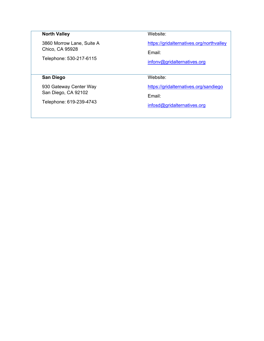## **North Valley**

3860 Morrow Lane, Suite A Chico, CA 95928

Telephone: 530-217-6115

# **San Diego**

930 Gateway Center Way San Diego, CA 92102

Telephone: 619-239-4743

Website:

https://gridalternatives.org/northvalley

Email:

infonv@gridalternatives.org

Website:

https://gridalternatives.org/sandiego

Email:

infosd@gridalternatives.org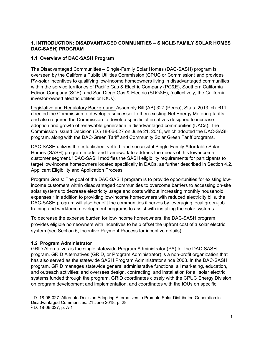#### **1. INTRODUCTION: DISADVANTAGED COMMUNITIES – SINGLE-FAMILY SOLAR HOMES DAC-SASH) PROGRAM**

#### **1.1 Overview of DAC-SASH Program**

The Disadvantaged Communities – Single-Family Solar Homes (DAC-SASH) program is overseen by the California Public Utilities Commission (CPUC or Commission) and provides PV-solar incentives to qualifying low-income homeowners living in disadvantaged communities within the service territories of Pacific Gas & Electric Company (PG&E), Southern California Edison Company (SCE), and San Diego Gas & Electric (SDG&E), (collectively, the California investor-owned electric utilities or IOUs).

Legislative and Regulatory Background: Assembly Bill (AB) 327 (Perea), Stats. 2013, ch. 611 directed the Commission to develop a successor to then-existing Net Energy Metering tariffs, and also required the Commission to develop specific alternatives designed to increase adoption and growth of renewable generation in disadvantaged communities (DACs). The Commission issued Decision (D.) 18-06-027 on June 21, 2018, which adopted the DAC-SASH program, along with the DAC-Green Tariff and Community Solar Green Tariff programs.

DAC-SASH utilizes the established, vetted, and successful Single-Family Affordable Solar Homes (SASH) program model and framework to address the needs of this low-income customer segment.1 DAC-SASH modifies the SASH eligibility requirements for participants to target low-income homeowners located specifically in DACs, as further described in Section 4.2, Applicant Eligibility and Application Process.

Program Goals: The goal of the DAC-SASH program is to provide opportunities for existing lowincome customers within disadvantaged communities to overcome barriers to accessing on-site solar systems to decrease electricity usage and costs without increasing monthly household expenses.2 In addition to providing low-income homeowners with reduced electricity bills, the DAC-SASH program will also benefit the communities it serves by leveraging local green-job training and workforce development programs to assist with installing the solar systems.

To decrease the expense burden for low-income homeowners, the DAC-SASH program provides eligible homeowners with incentives to help offset the upfront cost of a solar electric system (see Section 5, Incentive Payment Process for incentive details).

#### **1.2 Program Administrator**

GRID Alternatives is the single statewide Program Administrator (PA) for the DAC-SASH program. GRID Alternatives (GRID, or Program Administrator) is a non-profit organization that has also served as the statewide SASH Program Administrator since 2008. In the DAC-SASH program, GRID manages statewide general administrative functions; all marketing, education, and outreach activities; and oversees design, contracting, and installation for all solar electric systems funded through the program. GRID coordinates closely with the CPUC Energy Division on program development and implementation, and coordinates with the IOUs on specific

<sup>1</sup> D. 18-06-027: Alternate Decision Adopting Alternatives to Promote Solar Distributed Generation in Disadvantaged Communities. 21 June 2018, p. 28

<sup>2</sup> D. 18-06-027, p. A-1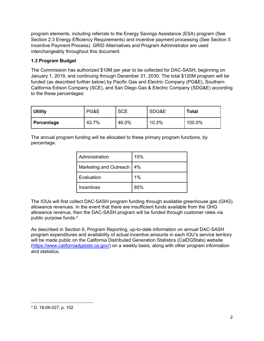program elements, including referrals to the Energy Savings Assistance (ESA) program (See Section 2.3 Energy Efficiency Requirements) and incentive payment processing (See Section 5 Incentive Payment Process). GRID Alternatives and Program Administrator are used interchangeably throughout this document.

## **1.3 Program Budget**

The Commission has authorized \$10M per year to be collected for DAC-SASH, beginning on January 1, 2019, and continuing through December 31, 2030. The total \$120M program will be funded (as described further below) by Pacific Gas and Electric Company (PG&E), Southern California Edison Company (SCE), and San Diego Gas & Electric Company (SDG&E) according to the these percentages:

| <b>Utility</b> | PG&E  | <b>SCE</b> | SDG&E | Total  |
|----------------|-------|------------|-------|--------|
| Percentage     | 43.7% | 46.0%      | 10.3% | 100.0% |

The annual program funding will be allocated to these primary program functions, by percentage.

| Administration              | 10% |
|-----------------------------|-----|
| Marketing and Outreach   4% |     |
| Evaluation                  | 1%  |
| Incentives                  | 85% |

The IOUs will first collect DAC-SASH program funding through available greenhouse gas (GHG) allowance revenues. In the event that there are insufficient funds available from the GHG allowance revenue, then the DAC-SASH program will be funded through customer rates via public purpose funds.3

As described in Section 6, Program Reporting, up-to-date information on annual DAC-SASH program expenditures and availability of actual incentive amounts in each IOU's service territory will be made public on the California Distributed Generation Statistics (CalDGStats) website (https://www.californiadgstats.ca.gov/) on a weekly basis, along with other program information and statistics.

<sup>3</sup> D. 18-06-027, p. 102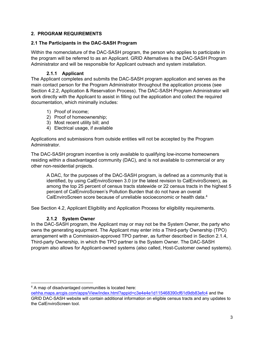#### **2. PROGRAM REQUIREMENTS**

#### **2.1 The Participants in the DAC-SASH Program**

Within the nomenclature of the DAC-SASH program, the person who applies to participate in the program will be referred to as an Applicant. GRID Alternatives is the DAC-SASH Program Administrator and will be responsible for Applicant outreach and system installation.

#### **2.1.1 Applicant**

The Applicant completes and submits the DAC-SASH program application and serves as the main contact person for the Program Administrator throughout the application process (see Section 4.2.2, Application & Reservation Process). The DAC-SASH Program Administrator will work directly with the Applicant to assist in filling out the application and collect the required documentation, which minimally includes:

- 1) Proof of income;
- 2) Proof of homeownership;
- 3) Most recent utility bill; and
- 4) Electrical usage, if available

Applications and submissions from outside entities will not be accepted by the Program Administrator.

The DAC-SASH program incentive is only available to qualifying low-income homeowners residing within a disadvantaged community (DAC), and is not available to commercial or any other non-residential projects.

A DAC, for the purposes of the DAC-SASH program, is defined as a community that is identified, by using CalEnviroScreen 3.0 (or the latest revision to CalEnviroScreen), as among the top 25 percent of census tracts statewide or 22 census tracts in the highest 5 percent of CalEnviroScreen's Pollution Burden that do not have an overall CalEnviroScreen score because of unreliable socioeconomic or health data.4

See Section 4.2, Applicant Eligibility and Application Process for eligibility requirements.

#### **2.1.2 System Owner**

In the DAC-SASH program, the Applicant may or may not be the System Owner, the party who owns the generating equipment. The Applicant may enter into a Third-party Ownership (TPO) arrangement with a Commission-approved TPO partner, as further described in Section 2.1.4, Third-party Ownership, in which the TPO partner is the System Owner. The DAC-SASH program also allows for Applicant-owned systems (also called, Host-Customer owned systems).

<sup>4</sup> A map of disadvantaged communities is located here:

oehha.maps.arcgis.com/apps/View/index.html?appid=c3e4e4e1d115468390cf61d9db83efc4 and the GRID DAC-SASH website will contain additional information on eligible census tracts and any updates to the CalEnviroScreen tool.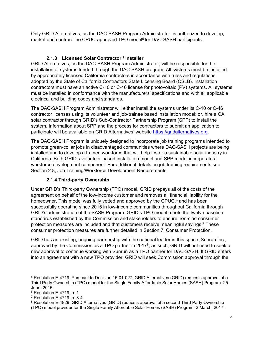Only GRID Alternatives, as the DAC-SASH Program Administrator, is authorized to develop, market and contract the CPUC-approved TPO model<sup>5</sup> for DAC-SASH participants.

## **2.1.3 Licensed Solar Contractor / Installer**

GRID Alternatives, as the DAC-SASH Program Administrator, will be responsible for the installation of systems funded through the DAC-SASH program. All systems must be installed by appropriately licensed California contractors in accordance with rules and regulations adopted by the State of California Contractors State Licensing Board (CSLB). Installation contractors must have an active C-10 or C-46 license for photovoltaic (PV) systems. All systems must be installed in conformance with the manufacturers' specifications and with all applicable electrical and building codes and standards.

The DAC-SASH Program Administrator will either install the systems under its C-10 or C-46 contractor licenses using its volunteer and job-trainee based installation model; or, hire a CA solar contractor through GRID's Sub-Contractor Partnership Program (SPP) to install the system. Information about SPP and the process for contractors to submit an application to participate will be available on GRID Alternatives' website https://gridalternatives.org.

The DAC-SASH Program is uniquely designed to incorporate job training programs intended to promote green-collar jobs in disadvantaged communities where DAC-SASH projects are being installed and to develop a trained workforce that will help foster a sustainable solar industry in California. Both GRID's volunteer-based installation model and SPP model incorporate a workforce development component. For additional details on job training requirements see Section 2.8, Job Training/Workforce Development Requirements.

# **2.1.4 Third-party Ownership**

Under GRID's Third-party Ownership (TPO) model, GRID prepays all of the costs of the agreement on behalf of the low-income customer and removes all financial liability for the homeowner. This model was fully vetted and approved by the CPUC, 6 and has been successfully operating since 2015 in low-income communities throughout California through GRID's administration of the SASH Program. GRID's TPO model meets the twelve baseline standards established by the Commission and stakeholders to ensure iron-clad consumer protection measures are included and that customers receive meaningful savings.7 These consumer protection measures are further detailed in Section 7, Consumer Protection.

GRID has an existing, ongoing partnership with the national leader in this space, Sunrun Inc., approved by the Commission as a TPO partner in 2017<sup>8</sup>; as such, GRID will not need to seek a new approval to continue working with Sunrun as a TPO partner for DAC-SASH. If GRID enters into an agreement with a new TPO provider, GRID will seek Commission approval through the

<sup>5</sup> Resolution E-4719. Pursuant to Decision 15-01-027, GRID Alternatives (GRID) requests approval of a Third Party Ownership (TPO) model for the Single Family Affordable Solar Homes (SASH) Program. 25 June, 2015.

 $6$  Resolution E-4719, p. 1.

 $7$  Resolution E-4719, p. 3-4.

<sup>&</sup>lt;sup>8</sup> Resolution E-4829. GRID Alternatives (GRID) requests approval of a second Third Party Ownership (TPO) model provider for the Single Family Affordable Solar Homes (SASH) Program. 2 March, 2017.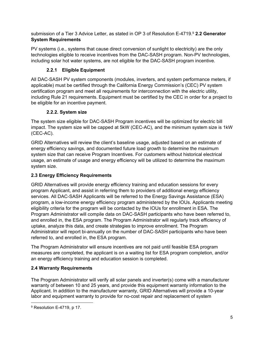submission of a Tier 3 Advice Letter, as stated in OP 3 of Resolution E-4719.9 **2.2 Generator System Requirements** 

PV systems (i.e., systems that cause direct conversion of sunlight to electricity) are the only technologies eligible to receive incentives from the DAC-SASH program. Non-PV technologies, including solar hot water systems, are not eligible for the DAC-SASH program incentive.

# **2.2.1 Eligible Equipment**

All DAC-SASH PV system components (modules, inverters, and system performance meters, if applicable) must be certified through the California Energy Commission's (CEC) PV system certification program and meet all requirements for interconnection with the electric utility, including Rule 21 requirements. Equipment must be certified by the CEC in order for a project to be eligible for an incentive payment.

# **2.2.2. System size**

The system size eligible for DAC-SASH Program incentives will be optimized for electric bill impact. The system size will be capped at 5kW (CEC-AC), and the minimum system size is 1kW (CEC-AC).

GRID Alternatives will review the client's baseline usage, adjusted based on an estimate of energy efficiency savings, and documented future load growth to determine the maximum system size that can receive Program Incentives. For customers without historical electrical usage, an estimate of usage and energy efficiency will be utilized to determine the maximum system size.

# **2.3 Energy Efficiency Requirements**

GRID Alternatives will provide energy efficiency training and education sessions for every program Applicant, and assist in referring them to providers of additional energy efficiency services. All DAC-SASH Applicants will be referred to the Energy Savings Assistance (ESA) program, a low-income energy efficiency program administered by the IOUs. Applicants meeting eligibility criteria for the program will be contacted by the IOUs for enrollment in ESA. The Program Administrator will compile data on DAC-SASH participants who have been referred to, and enrolled in, the ESA program. The Program Administrator will regularly track efficiency of uptake, analyze this data, and create strategies to improve enrollment. The Program Administrator will report bi-annually on the number of DAC-SASH participants who have been referred to, and enrolled in, the ESA program.

The Program Administrator will ensure incentives are not paid until feasible ESA program measures are completed, the applicant is on a waiting list for ESA program completion, and/or an energy efficiency training and education session is completed.

# **2.4 Warranty Requirements**

The Program Administrator will verify all solar panels and inverter(s) come with a manufacturer warranty of between 10 and 25 years, and provide this equipment warranty information to the Applicant. In addition to the manufacturer warranty, GRID Alternatives will provide a 10-year labor and equipment warranty to provide for no-cost repair and replacement of system

<sup>&</sup>lt;sup>9</sup> Resolution E-4719, p 17.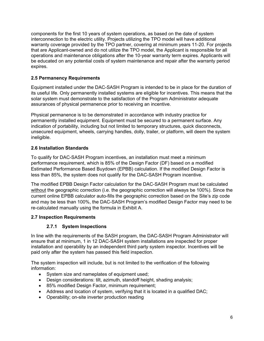components for the first 10 years of system operations, as based on the date of system interconnection to the electric utility. Projects utilizing the TPO model will have additional warranty coverage provided by the TPO partner, covering at minimum years 11-20. For projects that are Applicant-owned and do not utilize the TPO model, the Applicant is responsible for all operations and maintenance obligations after the 10-year warranty term expires. Applicants will be educated on any potential costs of system maintenance and repair after the warranty period expires.

#### **2.5 Permanency Requirements**

Equipment installed under the DAC-SASH Program is intended to be in place for the duration of its useful life. Only permanently installed systems are eligible for incentives. This means that the solar system must demonstrate to the satisfaction of the Program Administrator adequate assurances of physical permanence prior to receiving an incentive.

Physical permanence is to be demonstrated in accordance with industry practice for permanently installed equipment. Equipment must be secured to a permanent surface. Any indication of portability, including but not limited to temporary structures, quick disconnects, unsecured equipment, wheels, carrying handles, dolly, trailer, or platform, will deem the system ineligible.

#### **2.6 Installation Standards**

To qualify for DAC-SASH Program incentives, an installation must meet a minimum performance requirement, which is 85% of the Design Factor (DF) based on a modified Estimated Performance Based Buydown (EPBB) calculation. If the modified Design Factor is less than 85%, the system does not qualify for the DAC-SASH Program incentive.

The modified EPBB Design Factor calculation for the DAC-SASH Program must be calculated without the geographic correction (i.e. the geographic correction will always be 100%). Since the current online EPBB calculator auto-fills the geographic correction based on the Site's zip code and may be less than 100%, the DAC-SASH Program's modified Design Factor may need to be re-calculated manually using the formula in Exhibit A.

#### **2.7 Inspection Requirements**

#### **2.7.1 System Inspections**

In line with the requirements of the SASH program, the DAC-SASH Program Administrator will ensure that at minimum, 1 in 12 DAC-SASH system installations are inspected for proper installation and operability by an independent third party system inspector. Incentives will be paid only after the system has passed this field inspection.

The system inspection will include, but is not limited to the verification of the following information:

- System size and nameplates of equipment used;
- Design considerations: tilt, azimuth, standoff height, shading analysis;
- 85% modified Design Factor, minimum requirement;
- Address and location of system, verifying that it is located in a qualified DAC;
- Operability; on-site inverter production reading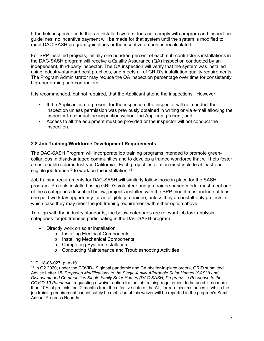If the field inspector finds that an installed system does not comply with program and inspection guidelines, no incentive payment will be made for that system until the system is modified to meet DAC-SASH program guidelines or the incentive amount is recalculated.

For SPP-installed projects, initially one hundred percent of each sub-contractor's installations in the DAC-SASH program will receive a Quality Assurance (QA) inspection conducted by an independent, third-party inspector. The QA inspection will verify that the system was installed using industry-standard best practices, and meets all of GRID's installation quality requirements. The Program Administrator may reduce the QA inspection percentage over time for consistently high-performing sub-contractors.

It is recommended, but not required, that the Applicant attend the inspections. However,

- If the Applicant is not present for the inspection, the inspector will not conduct the inspection unless permission was previously obtained in writing or via e-mail allowing the inspector to conduct the inspection without the Applicant present, and;
- Access to all the equipment must be provided or the inspector will not conduct the inspection.

## **2.8 Job Training/Workforce Development Requirements**

The DAC-SASH Program will incorporate job training programs intended to promote greencollar jobs in disadvantaged communities and to develop a trained workforce that will help foster a sustainable solar industry in California. Each project installation must include at least one eligible job trainee<sup>10</sup> to work on the installation.<sup>11</sup>

Job training requirements for DAC-SASH will similarly follow those in place for the SASH program. Projects installed using GRID's volunteer and job trainee-based model must meet one of the 5 categories described below; projects installed with the SPP model must include at least one paid workday opportunity for an eligible job trainee, unless they are install-only projects in which case they may meet the job training requirement with either option above.

To align with the industry standards, the below categories are relevant job task analysis categories for job trainees participating in the DAC-SASH program:

- Directly work on solar installation
	- o Installing Electrical Components
	- o Installing Mechanical Components
	- o Completing System Installation
	- o Conducting Maintenance and Troubleshooting Activities

<sup>10</sup> D. 18-06-027, p. A-10

<sup>&</sup>lt;sup>11</sup> In Q2 2020, under the COVID-19 global pandemic and CA shelter-in-place orders, GRID submitted Advice Letter 15, *Proposed Modifications to the Single-family Affordable Solar Homes (SASH) and Disadvantaged Communities Single-family Solar Homes (DAC-SASH) Programs in Response to the COVID-19 Pandemic*, requesting a waiver option for the job training requirement to be used in no more than 10% of projects for 12 months from the effective date of the AL, for rare circumstances in which the job training requirement cannot safely be met. Use of this waiver will be reported in the program's Semi-Annual Progress Reports.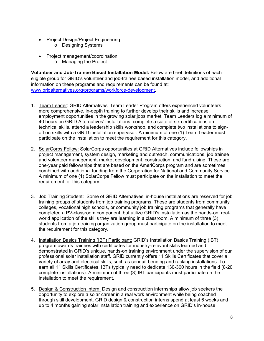- Project Design/Project Engineering
	- o Designing Systems
- Project management/coordination
	- o Managing the Project

**Volunteer and Job-Trainee Based Installation Model:** Below are brief definitions of each eligible group for GRID's volunteer and job-trainee based installation model, and additional information on these programs and requirements can be found at: www.gridalternatives.org/programs/workforce-development.

- 1. Team Leader: GRID Alternatives' Team Leader Program offers experienced volunteers more comprehensive, in-depth training to further develop their skills and increase employment opportunities in the growing solar jobs market. Team Leaders log a minimum of 40 hours on GRID Alternatives' installations, complete a suite of six certifications on technical skills, attend a leadership skills workshop, and complete two installations to signoff on skills with a GRID installation supervisor. A minimum of one (1) Team Leader must participate on the installation to meet the requirement for this category.
- 2. SolarCorps Fellow: SolarCorps opportunities at GRID Alternatives include fellowships in project management, system design, marketing and outreach, communications, job trainee and volunteer management, market development, construction, and fundraising. These are one-year paid fellowships that are based on the AmeriCorps program and are sometimes combined with additional funding from the Corporation for National and Community Service. A minimum of one (1) SolarCorps Fellow must participate on the installation to meet the requirement for this category.
- 3. Job Training Student: Some of GRID Alternatives' in-house installations are reserved for job training groups of students from job training programs. These are students from community colleges, vocational high schools, or community job training programs that generally have completed a PV-classroom component, but utilize GRID's installation as the hands-on, realworld application of the skills they are learning in a classroom. A minimum of three (3) students from a job training organization group must participate on the installation to meet the requirement for this category.
- 4. Installation Basics Training (IBT) Participant: GRID's Installation Basics Training (IBT) program awards trainees with certificates for industry-relevant skills learned and demonstrated in GRID's unique, hands-on training environment under the supervision of our professional solar installation staff. GRID currently offers 11 Skills Certificates that cover a variety of array and electrical skills, such as conduit bending and racking installations. To earn all 11 Skills Certificates, IBTs typically need to dedicate 130-300 hours in the field (8-20 complete installations). A minimum of three (3) IBT participants must participate on the installation to meet the requirement.
- 5. Design & Construction Intern: Design and construction internships allow job seekers the opportunity to explore a solar career in a real work environment while being coached through skill development. GRID design & construction interns spend at least 6 weeks and up to 4 months gaining solar installation training and experience on GRID's in-house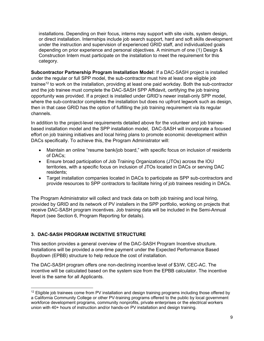installations. Depending on their focus, interns may support with site visits, system design, or direct installation. Internships include job search support, hard and soft skills development under the instruction and supervision of experienced GRID staff, and individualized goals depending on prior experience and personal objectives. A minimum of one (1) Design & Construction Intern must participate on the installation to meet the requirement for this category.

**Subcontractor Partnership Program Installation Model:** If a DAC-SASH project is installed under the regular or full SPP model, the sub-contractor must hire at least one eligible job trainee<sup>12</sup> to work on the installation, providing at least one paid workday. Both the sub-contractor and the job trainee must complete the DAC-SASH SPP Affidavit, certifying the job training opportunity was provided. If a project is installed under GRID's newer install-only SPP model, where the sub-contractor completes the installation but does no upfront legwork such as design, then in that case GRID has the option of fulfilling the job training requirement via its regular channels.

In addition to the project-level requirements detailed above for the volunteer and job traineebased installation model and the SPP installation model, DAC-SASH will incorporate a focused effort on job training initiatives and local hiring plans to promote economic development within DACs specifically. To achieve this, the Program Administrator will:

- Maintain an online "resume bank/job board," with specific focus on inclusion of residents of DACs;
- Ensure broad participation of Job Training Organizations (JTOs) across the IOU territories, with a specific focus on inclusion of JTOs located in DACs or serving DAC residents;
- Target installation companies located in DACs to participate as SPP sub-contractors and provide resources to SPP contractors to facilitate hiring of job trainees residing in DACs.

The Program Administrator will collect and track data on both job training and local hiring, provided by GRID and its network of PV installers in the SPP portfolio, working on projects that receive DAC-SASH program incentives. Job training data will be included in the Semi-Annual Report (see Section 6, Program Reporting for details).

# **3. DAC-SASH PROGRAM INCENTIVE STRUCTURE**

This section provides a general overview of the DAC-SASH Program Incentive structure. Installations will be provided a one-time payment under the Expected Performance Based Buydown (EPBB) structure to help reduce the cost of installation.

The DAC-SASH program offers one non-declining incentive level of \$3/W, CEC-AC. The incentive will be calculated based on the system size from the EPBB calculator. The incentive level is the same for all Applicants.

<sup>&</sup>lt;sup>12</sup> Eligible job trainees come from PV installation and design training programs including those offered by a California Community College or other PV-training programs offered to the public by local government workforce development programs, community nonprofits, private enterprises or the electrical workers union with 40+ hours of instruction and/or hands-on PV installation and design training.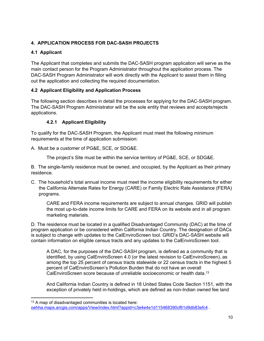# **4. APPLICATION PROCESS FOR DAC-SASH PROJECTS**

# **4.1 Applicant**

The Applicant that completes and submits the DAC-SASH program application will serve as the main contact person for the Program Administrator throughout the application process. The DAC-SASH Program Administrator will work directly with the Applicant to assist them in filling out the application and collecting the required documentation.

## **4.2 Applicant Eligibility and Application Process**

The following section describes in detail the processes for applying for the DAC-SASH program. The DAC-SASH Program Administrator will be the sole entity that reviews and accepts/rejects applications.

## **4.2.1 Applicant Eligibility**

To qualify for the DAC-SASH Program, the Applicant must meet the following minimum requirements at the time of application submission:

A. Must be a customer of PG&E, SCE, or SDG&E.

The project's Site must be within the service territory of PG&E, SCE, or SDG&E.

B. The single-family residence must be owned, and occupied, by the Applicant as their primary residence.

C. The household's total annual income must meet the income eligibility requirements for either the California Alternate Rates for Energy (CARE) or Family Electric Rate Assistance (FERA) programs.

CARE and FERA income requirements are subject to annual changes. GRID will publish the most up-to-date income limits for CARE and FERA on its website and in all program marketing materials.

D. The residence must be located in a qualified Disadvantaged Community (DAC) at the time of program application or be considered within California Indian Country. The designation of DACs is subject to change with updates to the CalEnviroScreen tool. GRID's DAC-SASH website will contain information on eligible census tracts and any updates to the CalEnviroScreen tool.

A DAC, for the purposes of the DAC-SASH program, is defined as a community that is identified, by using CalEnviroScreen 4.0 (or the latest revision to CalEnviroScreen), as among the top 25 percent of census tracts statewide or 22 census tracts in the highest 5 percent of CalEnviroScreen's Pollution Burden that do not have an overall CalEnviroScreen score because of unreliable socioeconomic or health data.13

And California Indian Country is defined in 18 United States Code Section 1151, with the exception of privately held in-holdings, which are defined as non-Indian owned fee land

 $13$  A map of disadvantaged communities is located here: oehha.maps.arcgis.com/apps/View/index.html?appid=c3e4e4e1d115468390cf61d9db83efc4 .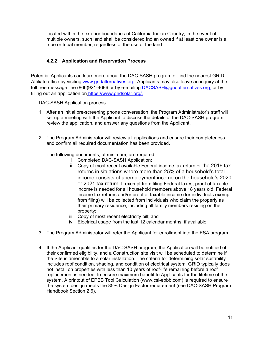located within the exterior boundaries of California Indian Country; in the event of multiple owners, such land shall be considered Indian owned if at least one owner is a tribe or tribal member, regardless of the use of the land.

## **4.2.2 Application and Reservation Process**

Potential Applicants can learn more about the DAC-SASH program or find the nearest GRID Affiliate office by visiting www.gridalternatives.org. Applicants may also leave an inquiry at the toll free message line (866)921-4696 or by e-mailing DACSASH@gridalternatives.org, or by filling out an application on https://www.gridsolar.org/.

#### DAC-SASH Application process

- 1. After an initial pre-screening phone conversation, the Program Administrator's staff will set up a meeting with the Applicant to discuss the details of the DAC-SASH program, review the application, and answer any questions from the Applicant.
- 2. The Program Administrator will review all applications and ensure their completeness and confirm all required documentation has been provided.

The following documents, at minimum, are required:

- i. Completed DAC-SASH Application;
- ii. Copy of most recent available Federal income tax return or the 2019 tax returns in situations where more than 25% of a household's total income consists of unemployment income on the household's 2020 or 2021 tax return. If exempt from filing Federal taxes, proof of taxable income is needed for all household members above 18 years old. Federal income tax returns and/or proof of taxable income (for individuals exempt from filing) will be collected from individuals who claim the property as their primary residence, including all family members residing on the property;
- iii. Copy of most recent electricity bill; and
- iv. Electrical usage from the last 12 calendar months, if available.
- 3. The Program Administrator will refer the Applicant for enrollment into the ESA program.
- 4. If the Applicant qualifies for the DAC-SASH program, the Application will be notified of their confirmed eligibility, and a Construction site visit will be scheduled to determine if the Site is amenable to a solar installation. The criteria for determining solar suitability includes roof condition, shading, and condition of electrical system. GRID typically does not install on properties with less than 10 years of roof-life remaining before a roof replacement is needed, to ensure maximum benefit to Applicants for the lifetime of the system. A printout of EPBB Tool Calculation (www.csi-epbb.com) is required to ensure the system design meets the 85% Design Factor requirement (see DAC-SASH Program Handbook Section 2.6).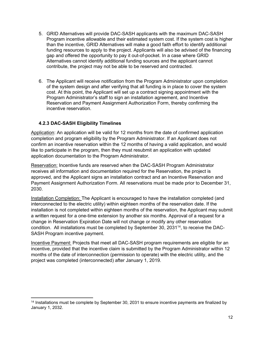- 5. GRID Alternatives will provide DAC-SASH applicants with the maximum DAC-SASH Program incentive allowable and their estimated system cost. If the system cost is higher than the incentive, GRID Alternatives will make a good faith effort to identify additional funding resources to apply to the project. Applicants will also be advised of the financing gap and offered the opportunity to pay it out-of-pocket. In a case where GRID Alternatives cannot identify additional funding sources and the applicant cannot contribute, the project may not be able to be reserved and contracted.
- 6. The Applicant will receive notification from the Program Administrator upon completion of the system design and after verifying that all funding is in place to cover the system cost. At this point, the Applicant will set up a contract signing appointment with the Program Administrator's staff to sign an installation agreement, and Incentive Reservation and Payment Assignment Authorization Form, thereby confirming the incentive reservation.

## **4.2.3 DAC-SASH Eligibility Timelines**

Application: An application will be valid for 12 months from the date of confirmed application completion and program eligibility by the Program Administrator. If an Applicant does not confirm an incentive reservation within the 12 months of having a valid application, and would like to participate in the program, then they must resubmit an application with updated application documentation to the Program Administrator.

Reservation: Incentive funds are reserved when the DAC-SASH Program Administrator receives all information and documentation required for the Reservation, the project is approved, and the Applicant signs an installation contract and an Incentive Reservation and Payment Assignment Authorization Form. All reservations must be made prior to December 31, 2030.

Installation Completion: The Applicant is encouraged to have the installation completed (and interconnected to the electric utility) within eighteen months of the reservation date. If the installation is not completed within eighteen months of the reservation, the Applicant may submit a written request for a one-time extension by another six months. Approval of a request for a change in Reservation Expiration Date will not change or modify any other reservation condition. All installations must be completed by September 30, 203114, to receive the DAC-SASH Program incentive payment.

Incentive Payment: Projects that meet all DAC-SASH program requirements are eligible for an incentive, provided that the incentive claim is submitted by the Program Administrator within 12 months of the date of interconnection (permission to operate) with the electric utility, and the project was completed (interconnected) after January 1, 2019.

<sup>&</sup>lt;sup>14</sup> Installations must be complete by September 30, 2031 to ensure incentive payments are finalized by January 1, 2032.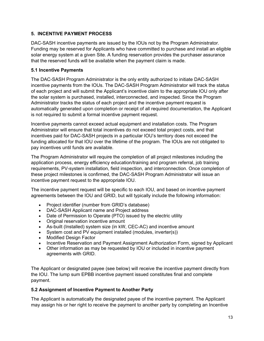#### **5. INCENTIVE PAYMENT PROCESS**

DAC-SASH incentive payments are issued by the IOUs not by the Program Administrator. Funding may be reserved for Applicants who have committed to purchase and install an eligible solar energy system at a given Site. A funding reservation provides the purchaser assurance that the reserved funds will be available when the payment claim is made.

## **5.1 Incentive Payments**

The DAC-SASH Program Administrator is the only entity authorized to initiate DAC-SASH incentive payments from the IOUs. The DAC-SASH Program Administrator will track the status of each project and will submit the Applicant's incentive claim to the appropriate IOU only after the solar system is purchased, installed, interconnected, and inspected. Since the Program Administrator tracks the status of each project and the incentive payment request is automatically generated upon completion or receipt of all required documentation, the Applicant is not required to submit a formal incentive payment request.

Incentive payments cannot exceed actual equipment and installation costs. The Program Administrator will ensure that total incentives do not exceed total project costs, and that incentives paid for DAC-SASH projects in a particular IOU's territory does not exceed the funding allocated for that IOU over the lifetime of the program. The IOUs are not obligated to pay incentives until funds are available.

The Program Administrator will require the completion of all project milestones including the application process, energy efficiency education/training and program referral, job training requirements, PV-system installation, field inspection, and interconnection. Once completion of these project milestones is confirmed, the DAC-SASH Program Administrator will issue an incentive payment request to the appropriate IOU.

The incentive payment request will be specific to each IOU, and based on incentive payment agreements between the IOU and GRID, but will typically include the following information:

- Project identifier (number from GRID's database)
- DAC-SASH Applicant name and Project address
- Date of Permission to Operate (PTO) issued by the electric utility
- Original reservation incentive amount
- As-built (Installed) system size (in kW, CEC-AC) and incentive amount
- System cost and PV equipment installed (modules, inverter(s))
- Modified Design Factor
- Incentive Reservation and Payment Assignment Authorization Form, signed by Applicant
- Other information as may be requested by IOU or included in incentive payment agreements with GRID.

The Applicant or designated payee (see below) will receive the incentive payment directly from the IOU. The lump sum EPBB incentive payment issued constitutes final and complete payment.

#### **5.2 Assignment of Incentive Payment to Another Party**

The Applicant is automatically the designated payee of the incentive payment. The Applicant may assign his or her right to receive the payment to another party by completing an Incentive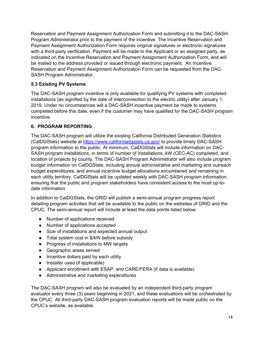Reservation and Payment Assignment Authorization Form and submitting it to the DAC-SASH Program Administrator prior to the payment of the incentive. The Incentive Reservation and Payment Assignment Authorization Form requires original signatures or electronic signatures with a third-party verification. Payment will be made to the Applicant or an assigned party, as indicated on the Incentive Reservation and Payment Assignment Authorization Form, and will be mailed to the address provided or issued through electronic payment. An Incentive Reservation and Payment Assignment Authorization Form can be requested from the DAC-SASH Program Administrator.

# **5.3 Existing PV Systems**

The DAC-SASH program incentive is only available for qualifying PV systems with completed installations (as signified by the date of interconnection to the electric utility) after January 1, 2019. Under no circumstances will a DAC-SASH incentive payment be made to systems completed before this date, even if the customer may have qualified for the DAC-SASH program incentive.

#### **6. PROGRAM REPORTING**

The DAC-SASH program will utilize the existing California Distributed Generation Statistics (CalDGStats) website at https://www.californiadgstats.ca.gov/ to provide timely DAC-SASH program information to the public. At minimum, CalDGStats will include information on DAC-SASH program installations, in terms of number of installations, kW (CEC-AC) completed, and location of projects by county. The DAC-SASH Program Administrator will also include program budget information on CalDGStats, including annual administrative and marketing and outreach budget expenditures, and annual incentive budget allocations encumbered and remaining in each utility territory. CalDGStats will be updated weekly with DAC-SASH program information, ensuring that the public and program stakeholders have consistent access to the most up-todate information.

In addition to CalDGStats, the GRID will publish a semi-annual program progress report detailing program activities that will be available to the public on the websites of GRID and the CPUC. The semi-annual report will include at least the data points listed below:

- Number of applications received
- Number of applications accepted
- Size of installations and expected annual output
- Total system cost in \$/kW before subsidy
- Progress of installations to MW targets
- Geographic areas served
- Incentive dollars paid by each utility
- Installer used (if applicable)
- Applicant enrollment with ESAP, and CARE/FERA (if data is available)
- Administrative and marketing expenditures

The DAC-SASH program will also be evaluated by an independent third-party program evaluator every three (3) years beginning in 2021, and these evaluations will be orchestrated by the CPUC. All third-party DAC-SASH program evaluation reports will be made public on the CPUC's website, as available.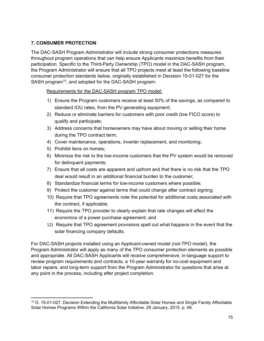#### **7. CONSUMER PROTECTION**

The DAC-SASH Program Administrator will include strong consumer protections measures throughout program operations that can help ensure Applicants maximize benefits from their participation. Specific to the Third-Party Ownership (TPO) model in the DAC-SASH program, the Program Administrator will ensure that all TPO projects meet at least the following baseline consumer protection standards below, originally established in Decision 15-01-027 for the SASH program<sup>15</sup>, and adopted for the DAC-SASH program:

Requirements for the DAC-SASH program TPO model:

- 1) Ensure the Program customers receive at least 50% of the savings, as compared to standard IOU rates, from the PV generating equipment;
- 2) Reduce or eliminate barriers for customers with poor credit (low FICO score) to qualify and participate;
- 3) Address concerns that homeowners may have about moving or selling their home during the TPO contract term;
- 4) Cover maintenance, operations, inverter replacement, and monitoring;
- 5) Prohibit liens on homes;
- 6) Minimize the risk to the low-income customers that the PV system would be removed for delinquent payments;
- 7) Ensure that all costs are apparent and upfront and that there is no risk that the TPO deal would result in an additional financial burden to the customer;
- 8) Standardize financial terms for low-income customers where possible;
- 9) Protect the customer against terms that could change after contract signing;
- 10) Require that TPO agreements note the potential for additional costs associated with the contract, if applicable;
- 11) Require the TPO provider to clearly explain that rate changes will affect the economics of a power purchase agreement; and
- 12) Require that TPO agreement provisions spell out what happens in the event that the solar financing company defaults.

For DAC-SASH projects installed using an Applicant-owned model (not-TPO model), the Program Administrator will apply as many of the TPO consumer protection elements as possible and appropriate. All DAC-SASH Applicants will receive comprehensive, in-language support to review program requirements and contracts, a 10-year warranty for no-cost equipment and labor repairs, and long-term support from the Program Administrator for questions that arise at any point in the process, including after project completion.

<sup>15</sup> D. 15-01-027. Decision Extending the Multifamily Affordable Solar Homes and Single Family Affordable Solar Homes Programs Within the California Solar Initiative. 29 January, 2015. p. 49.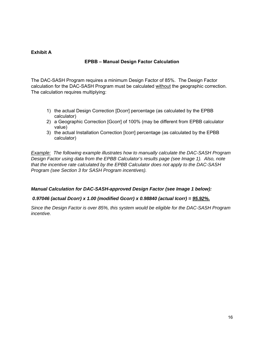## **Exhibit A**

## **EPBB – Manual Design Factor Calculation**

The DAC-SASH Program requires a minimum Design Factor of 85%. The Design Factor calculation for the DAC-SASH Program must be calculated without the geographic correction. The calculation requires multiplying:

- 1) the actual Design Correction [Dcorr] percentage (as calculated by the EPBB calculator)
- 2) a Geographic Correction [Gcorr] of 100% (may be different from EPBB calculator value)
- 3) the actual Installation Correction [Icorr] percentage (as calculated by the EPBB calculator)

*Example: The following example illustrates how to manually calculate the DAC-SASH Program Design Factor using data from the EPBB Calculator's results page (see Image 1). Also, note that the incentive rate calculated by the EPBB Calculator does not apply to the DAC-SASH Program (see Section 3 for SASH Program incentives).* 

#### *Manual Calculation for DAC-SASH-approved Design Factor (see Image 1 below):*

#### *0.97046 (actual Dcorr) x 1.00 (modified Gcorr) x 0.98840 (actual Icorr) = 95.92%.*

*Since the Design Factor is over 85%, this system would be eligible for the DAC-SASH Program incentive.*